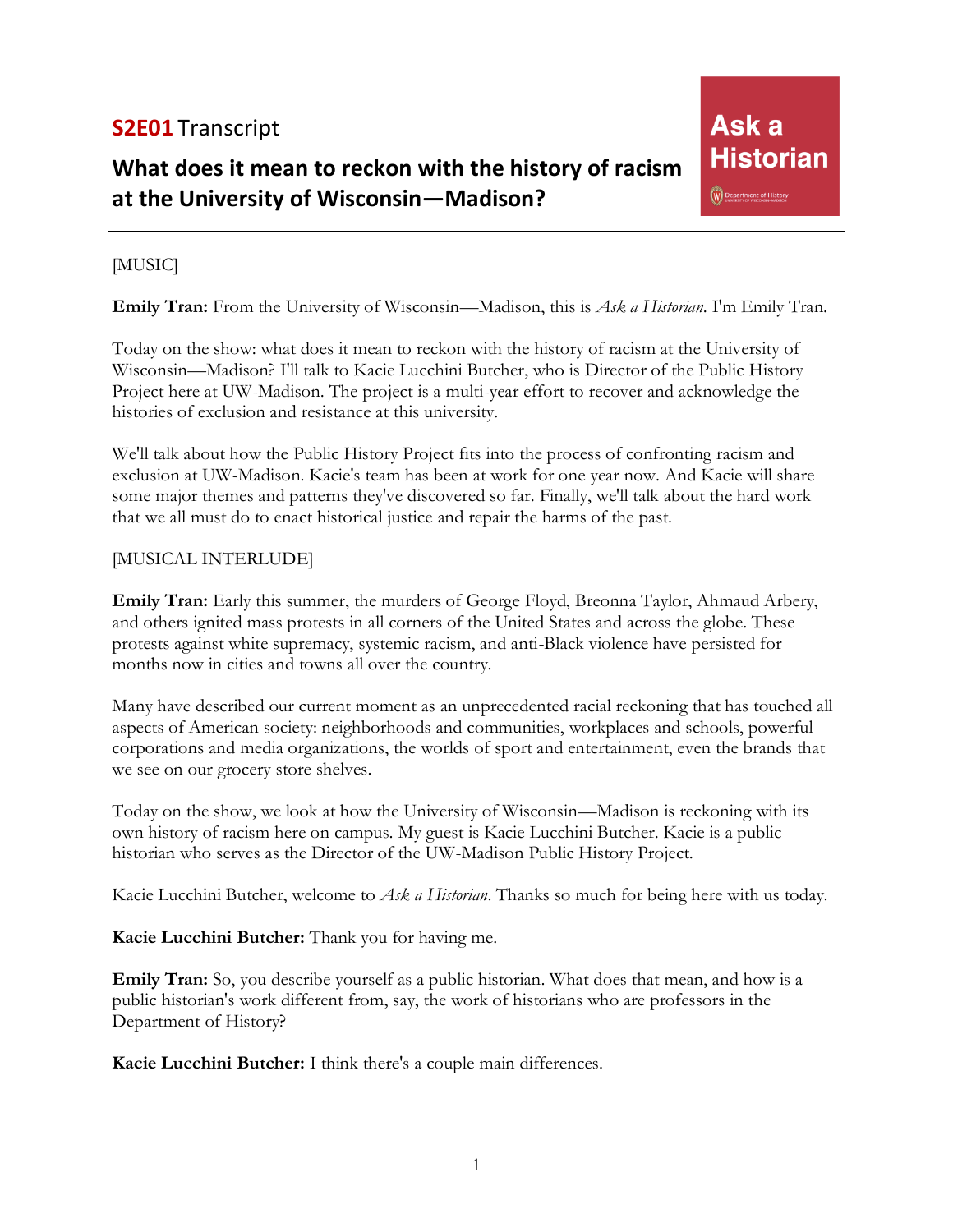# **S2E01** Transcript

# **What does it mean to reckon with the history of racism at the University of Wisconsin—Madison?**

# Ask a **Historian** W Department of History

## [MUSIC]

**Emily Tran:** From the University of Wisconsin—Madison, this is *Ask a Historian*. I'm Emily Tran.

Today on the show: what does it mean to reckon with the history of racism at the University of Wisconsin—Madison? I'll talk to Kacie Lucchini Butcher, who is Director of the Public History Project here at UW-Madison. The project is a multi-year effort to recover and acknowledge the histories of exclusion and resistance at this university.

We'll talk about how the Public History Project fits into the process of confronting racism and exclusion at UW-Madison. Kacie's team has been at work for one year now. And Kacie will share some major themes and patterns they've discovered so far. Finally, we'll talk about the hard work that we all must do to enact historical justice and repair the harms of the past.

## [MUSICAL INTERLUDE]

**Emily Tran:** Early this summer, the murders of George Floyd, Breonna Taylor, Ahmaud Arbery, and others ignited mass protests in all corners of the United States and across the globe. These protests against white supremacy, systemic racism, and anti-Black violence have persisted for months now in cities and towns all over the country.

Many have described our current moment as an unprecedented racial reckoning that has touched all aspects of American society: neighborhoods and communities, workplaces and schools, powerful corporations and media organizations, the worlds of sport and entertainment, even the brands that we see on our grocery store shelves.

Today on the show, we look at how the University of Wisconsin—Madison is reckoning with its own history of racism here on campus. My guest is Kacie Lucchini Butcher. Kacie is a public historian who serves as the Director of the UW-Madison Public History Project.

Kacie Lucchini Butcher, welcome to *Ask a Historian*. Thanks so much for being here with us today.

**Kacie Lucchini Butcher:** Thank you for having me.

**Emily Tran:** So, you describe yourself as a public historian. What does that mean, and how is a public historian's work different from, say, the work of historians who are professors in the Department of History?

**Kacie Lucchini Butcher:** I think there's a couple main differences.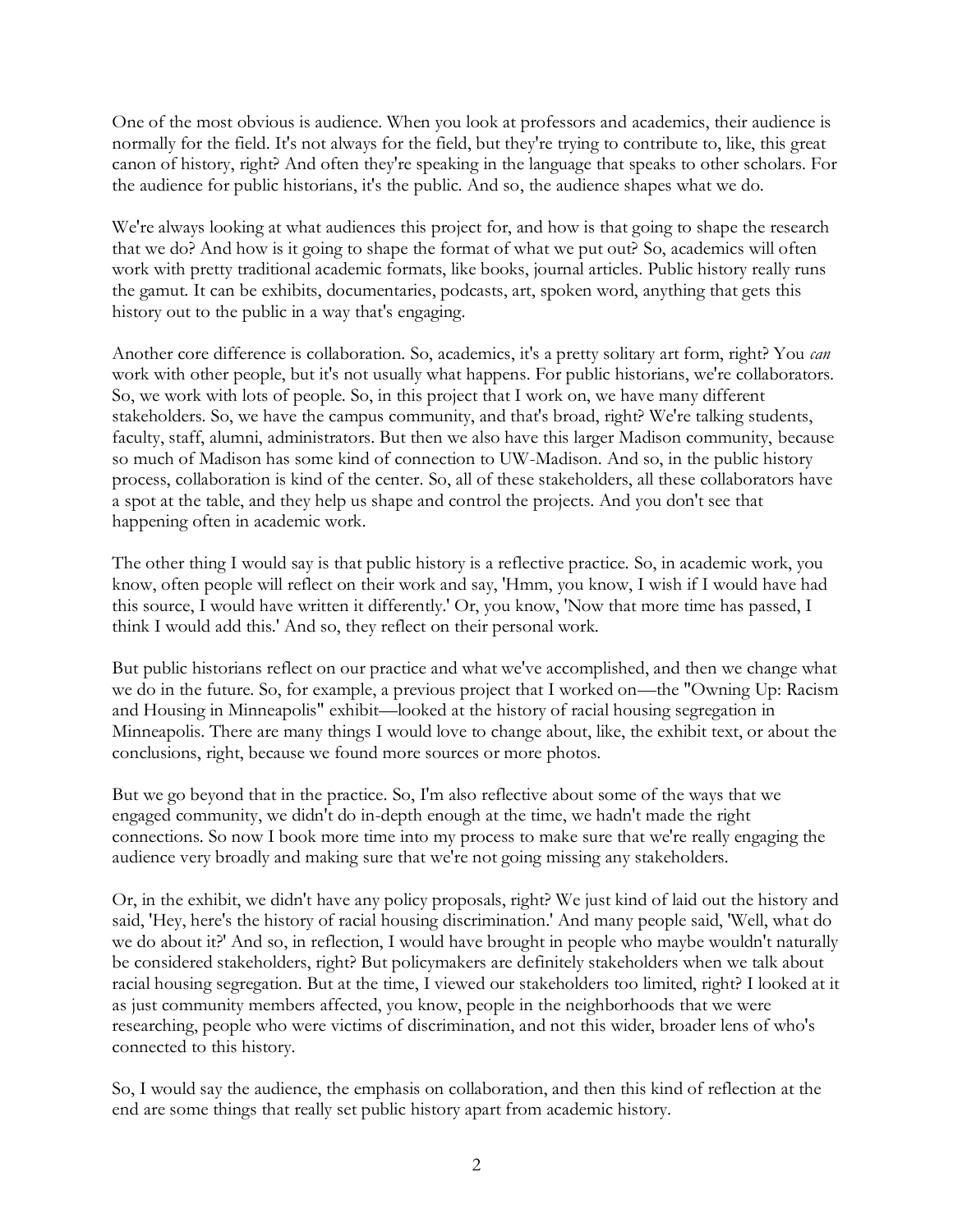One of the most obvious is audience. When you look at professors and academics, their audience is normally for the field. It's not always for the field, but they're trying to contribute to, like, this great canon of history, right? And often they're speaking in the language that speaks to other scholars. For the audience for public historians, it's the public. And so, the audience shapes what we do.

We're always looking at what audiences this project for, and how is that going to shape the research that we do? And how is it going to shape the format of what we put out? So, academics will often work with pretty traditional academic formats, like books, journal articles. Public history really runs the gamut. It can be exhibits, documentaries, podcasts, art, spoken word, anything that gets this history out to the public in a way that's engaging.

Another core difference is collaboration. So, academics, it's a pretty solitary art form, right? You *can* work with other people, but it's not usually what happens. For public historians, we're collaborators. So, we work with lots of people. So, in this project that I work on, we have many different stakeholders. So, we have the campus community, and that's broad, right? We're talking students, faculty, staff, alumni, administrators. But then we also have this larger Madison community, because so much of Madison has some kind of connection to UW-Madison. And so, in the public history process, collaboration is kind of the center. So, all of these stakeholders, all these collaborators have a spot at the table, and they help us shape and control the projects. And you don't see that happening often in academic work.

The other thing I would say is that public history is a reflective practice. So, in academic work, you know, often people will reflect on their work and say, 'Hmm, you know, I wish if I would have had this source, I would have written it differently.' Or, you know, 'Now that more time has passed, I think I would add this.' And so, they reflect on their personal work.

But public historians reflect on our practice and what we've accomplished, and then we change what we do in the future. So, for example, a previous project that I worked on—the "Owning Up: Racism and Housing in Minneapolis" exhibit—looked at the history of racial housing segregation in Minneapolis. There are many things I would love to change about, like, the exhibit text, or about the conclusions, right, because we found more sources or more photos.

But we go beyond that in the practice. So, I'm also reflective about some of the ways that we engaged community, we didn't do in-depth enough at the time, we hadn't made the right connections. So now I book more time into my process to make sure that we're really engaging the audience very broadly and making sure that we're not going missing any stakeholders.

Or, in the exhibit, we didn't have any policy proposals, right? We just kind of laid out the history and said, 'Hey, here's the history of racial housing discrimination.' And many people said, 'Well, what do we do about it?' And so, in reflection, I would have brought in people who maybe wouldn't naturally be considered stakeholders, right? But policymakers are definitely stakeholders when we talk about racial housing segregation. But at the time, I viewed our stakeholders too limited, right? I looked at it as just community members affected, you know, people in the neighborhoods that we were researching, people who were victims of discrimination, and not this wider, broader lens of who's connected to this history.

So, I would say the audience, the emphasis on collaboration, and then this kind of reflection at the end are some things that really set public history apart from academic history.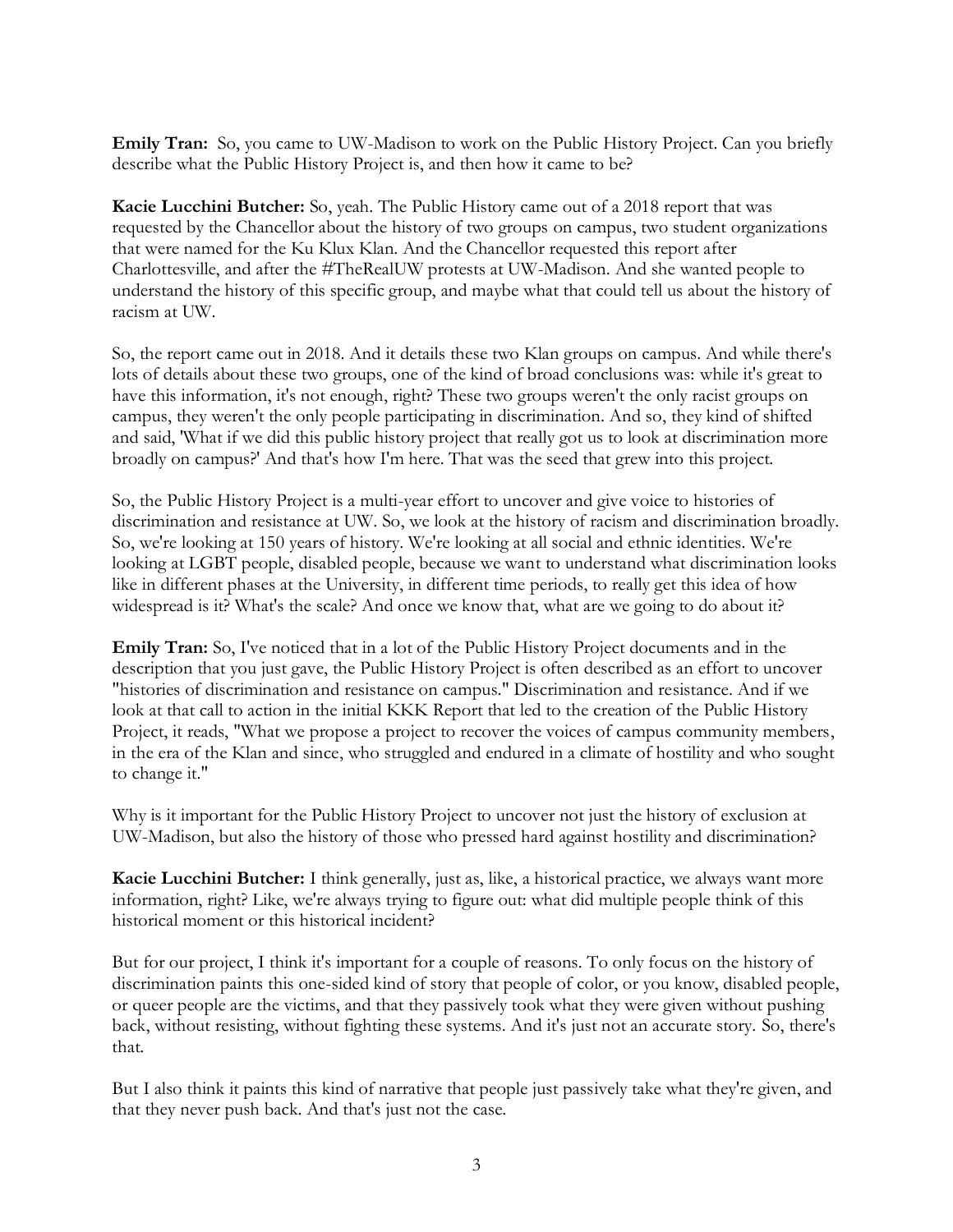**Emily Tran:** So, you came to UW-Madison to work on the Public History Project. Can you briefly describe what the Public History Project is, and then how it came to be?

**Kacie Lucchini Butcher:** So, yeah. The Public History came out of a 2018 report that was requested by the Chancellor about the history of two groups on campus, two student organizations that were named for the Ku Klux Klan. And the Chancellor requested this report after Charlottesville, and after the #TheRealUW protests at UW-Madison. And she wanted people to understand the history of this specific group, and maybe what that could tell us about the history of racism at UW.

So, the report came out in 2018. And it details these two Klan groups on campus. And while there's lots of details about these two groups, one of the kind of broad conclusions was: while it's great to have this information, it's not enough, right? These two groups weren't the only racist groups on campus, they weren't the only people participating in discrimination. And so, they kind of shifted and said, 'What if we did this public history project that really got us to look at discrimination more broadly on campus?' And that's how I'm here. That was the seed that grew into this project.

So, the Public History Project is a multi-year effort to uncover and give voice to histories of discrimination and resistance at UW. So, we look at the history of racism and discrimination broadly. So, we're looking at 150 years of history. We're looking at all social and ethnic identities. We're looking at LGBT people, disabled people, because we want to understand what discrimination looks like in different phases at the University, in different time periods, to really get this idea of how widespread is it? What's the scale? And once we know that, what are we going to do about it?

**Emily Tran:** So, I've noticed that in a lot of the Public History Project documents and in the description that you just gave, the Public History Project is often described as an effort to uncover "histories of discrimination and resistance on campus." Discrimination and resistance. And if we look at that call to action in the initial KKK Report that led to the creation of the Public History Project, it reads, "What we propose a project to recover the voices of campus community members, in the era of the Klan and since, who struggled and endured in a climate of hostility and who sought to change it."

Why is it important for the Public History Project to uncover not just the history of exclusion at UW-Madison, but also the history of those who pressed hard against hostility and discrimination?

**Kacie Lucchini Butcher:** I think generally, just as, like, a historical practice, we always want more information, right? Like, we're always trying to figure out: what did multiple people think of this historical moment or this historical incident?

But for our project, I think it's important for a couple of reasons. To only focus on the history of discrimination paints this one-sided kind of story that people of color, or you know, disabled people, or queer people are the victims, and that they passively took what they were given without pushing back, without resisting, without fighting these systems. And it's just not an accurate story. So, there's that.

But I also think it paints this kind of narrative that people just passively take what they're given, and that they never push back. And that's just not the case.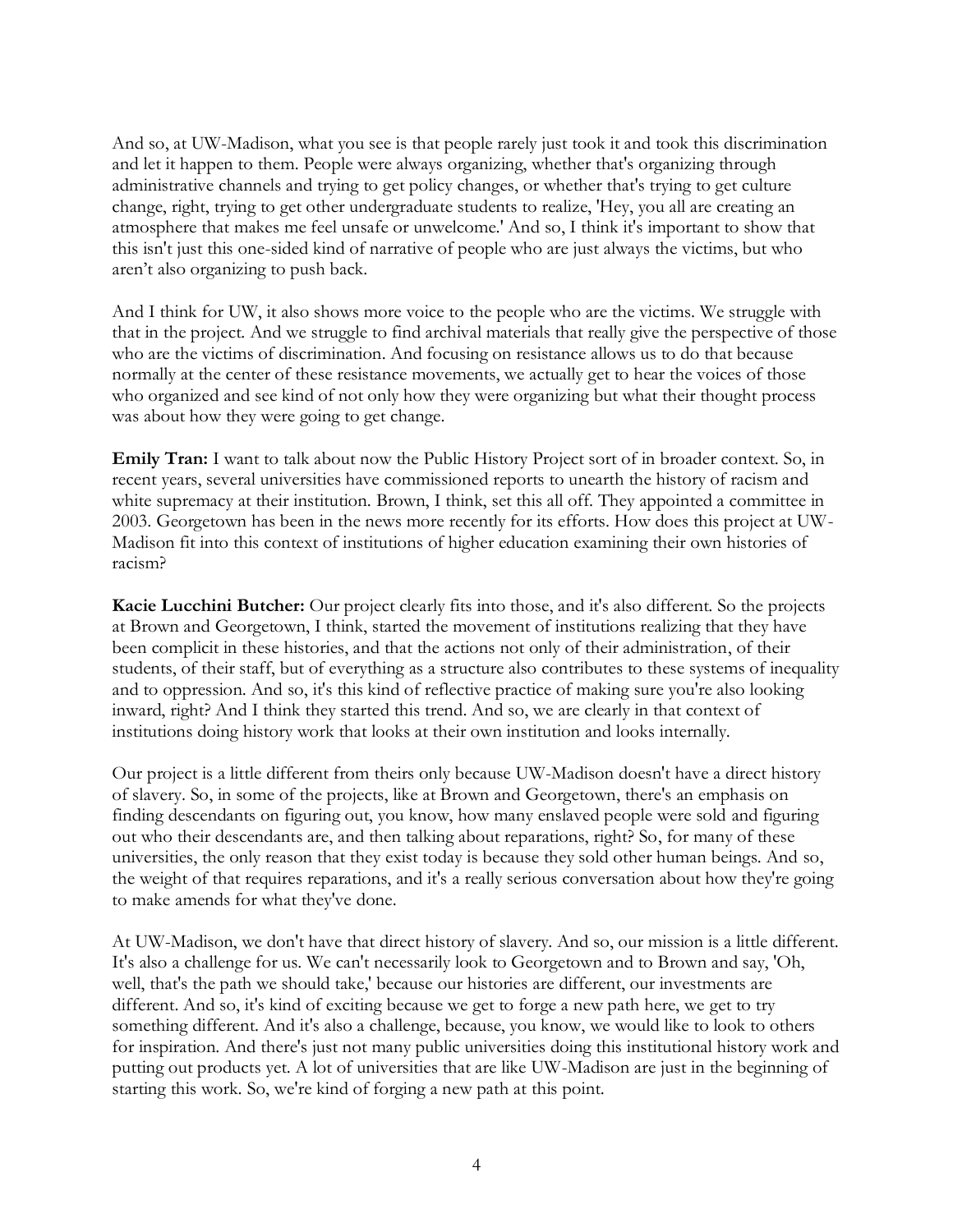And so, at UW-Madison, what you see is that people rarely just took it and took this discrimination and let it happen to them. People were always organizing, whether that's organizing through administrative channels and trying to get policy changes, or whether that's trying to get culture change, right, trying to get other undergraduate students to realize, 'Hey, you all are creating an atmosphere that makes me feel unsafe or unwelcome.' And so, I think it's important to show that this isn't just this one-sided kind of narrative of people who are just always the victims, but who aren't also organizing to push back.

And I think for UW, it also shows more voice to the people who are the victims. We struggle with that in the project. And we struggle to find archival materials that really give the perspective of those who are the victims of discrimination. And focusing on resistance allows us to do that because normally at the center of these resistance movements, we actually get to hear the voices of those who organized and see kind of not only how they were organizing but what their thought process was about how they were going to get change.

**Emily Tran:** I want to talk about now the Public History Project sort of in broader context. So, in recent years, several universities have commissioned reports to unearth the history of racism and white supremacy at their institution. Brown, I think, set this all off. They appointed a committee in 2003. Georgetown has been in the news more recently for its efforts. How does this project at UW-Madison fit into this context of institutions of higher education examining their own histories of racism?

**Kacie Lucchini Butcher:** Our project clearly fits into those, and it's also different. So the projects at Brown and Georgetown, I think, started the movement of institutions realizing that they have been complicit in these histories, and that the actions not only of their administration, of their students, of their staff, but of everything as a structure also contributes to these systems of inequality and to oppression. And so, it's this kind of reflective practice of making sure you're also looking inward, right? And I think they started this trend. And so, we are clearly in that context of institutions doing history work that looks at their own institution and looks internally.

Our project is a little different from theirs only because UW-Madison doesn't have a direct history of slavery. So, in some of the projects, like at Brown and Georgetown, there's an emphasis on finding descendants on figuring out, you know, how many enslaved people were sold and figuring out who their descendants are, and then talking about reparations, right? So, for many of these universities, the only reason that they exist today is because they sold other human beings. And so, the weight of that requires reparations, and it's a really serious conversation about how they're going to make amends for what they've done.

At UW-Madison, we don't have that direct history of slavery. And so, our mission is a little different. It's also a challenge for us. We can't necessarily look to Georgetown and to Brown and say, 'Oh, well, that's the path we should take,' because our histories are different, our investments are different. And so, it's kind of exciting because we get to forge a new path here, we get to try something different. And it's also a challenge, because, you know, we would like to look to others for inspiration. And there's just not many public universities doing this institutional history work and putting out products yet. A lot of universities that are like UW-Madison are just in the beginning of starting this work. So, we're kind of forging a new path at this point.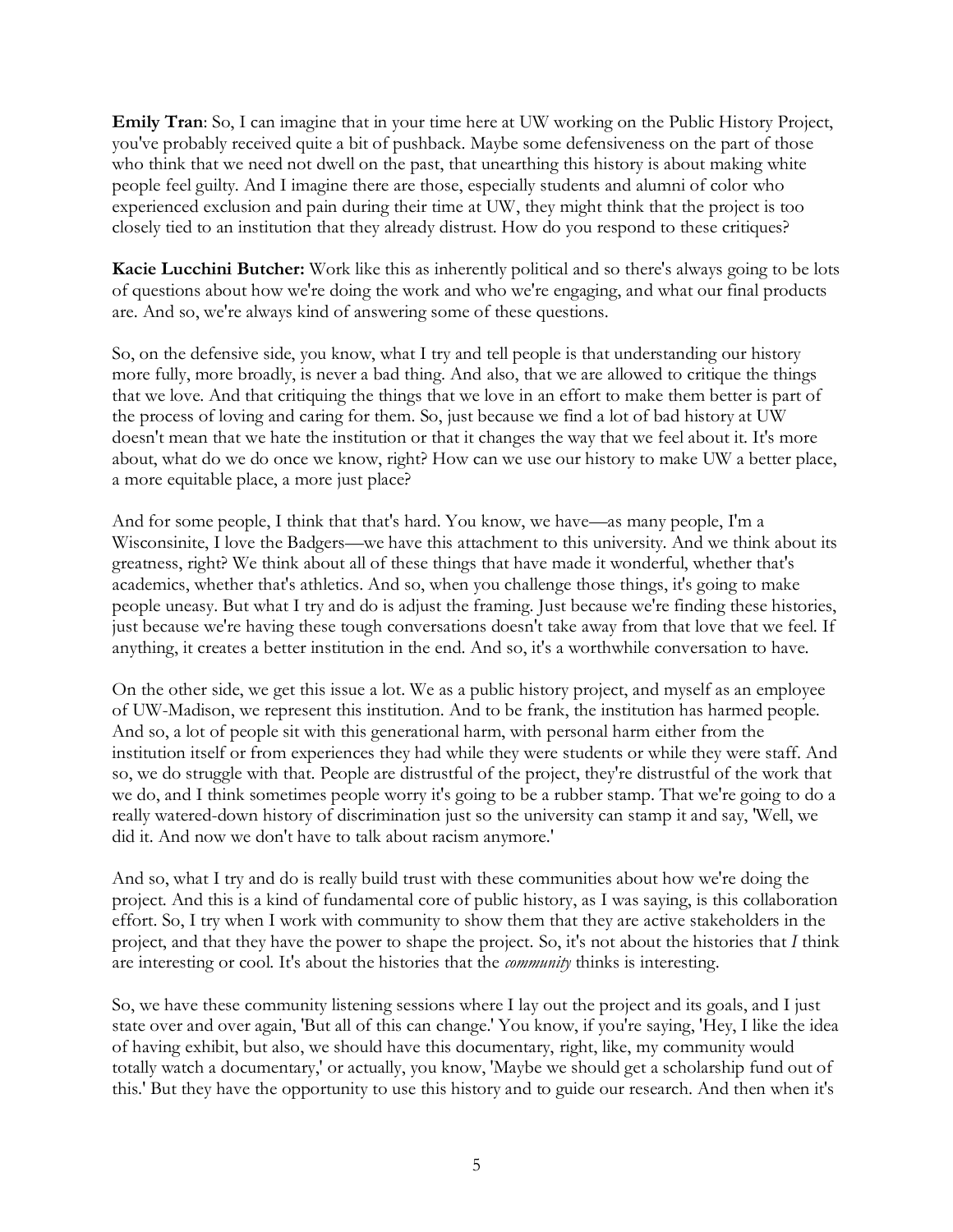**Emily Tran**: So, I can imagine that in your time here at UW working on the Public History Project, you've probably received quite a bit of pushback. Maybe some defensiveness on the part of those who think that we need not dwell on the past, that unearthing this history is about making white people feel guilty. And I imagine there are those, especially students and alumni of color who experienced exclusion and pain during their time at UW, they might think that the project is too closely tied to an institution that they already distrust. How do you respond to these critiques?

**Kacie Lucchini Butcher:** Work like this as inherently political and so there's always going to be lots of questions about how we're doing the work and who we're engaging, and what our final products are. And so, we're always kind of answering some of these questions.

So, on the defensive side, you know, what I try and tell people is that understanding our history more fully, more broadly, is never a bad thing. And also, that we are allowed to critique the things that we love. And that critiquing the things that we love in an effort to make them better is part of the process of loving and caring for them. So, just because we find a lot of bad history at UW doesn't mean that we hate the institution or that it changes the way that we feel about it. It's more about, what do we do once we know, right? How can we use our history to make UW a better place, a more equitable place, a more just place?

And for some people, I think that that's hard. You know, we have—as many people, I'm a Wisconsinite, I love the Badgers—we have this attachment to this university. And we think about its greatness, right? We think about all of these things that have made it wonderful, whether that's academics, whether that's athletics. And so, when you challenge those things, it's going to make people uneasy. But what I try and do is adjust the framing. Just because we're finding these histories, just because we're having these tough conversations doesn't take away from that love that we feel. If anything, it creates a better institution in the end. And so, it's a worthwhile conversation to have.

On the other side, we get this issue a lot. We as a public history project, and myself as an employee of UW-Madison, we represent this institution. And to be frank, the institution has harmed people. And so, a lot of people sit with this generational harm, with personal harm either from the institution itself or from experiences they had while they were students or while they were staff. And so, we do struggle with that. People are distrustful of the project, they're distrustful of the work that we do, and I think sometimes people worry it's going to be a rubber stamp. That we're going to do a really watered-down history of discrimination just so the university can stamp it and say, 'Well, we did it. And now we don't have to talk about racism anymore.'

And so, what I try and do is really build trust with these communities about how we're doing the project. And this is a kind of fundamental core of public history, as I was saying, is this collaboration effort. So, I try when I work with community to show them that they are active stakeholders in the project, and that they have the power to shape the project. So, it's not about the histories that *I* think are interesting or cool. It's about the histories that the *community* thinks is interesting.

So, we have these community listening sessions where I lay out the project and its goals, and I just state over and over again, 'But all of this can change.' You know, if you're saying, 'Hey, I like the idea of having exhibit, but also, we should have this documentary, right, like, my community would totally watch a documentary,' or actually, you know, 'Maybe we should get a scholarship fund out of this.' But they have the opportunity to use this history and to guide our research. And then when it's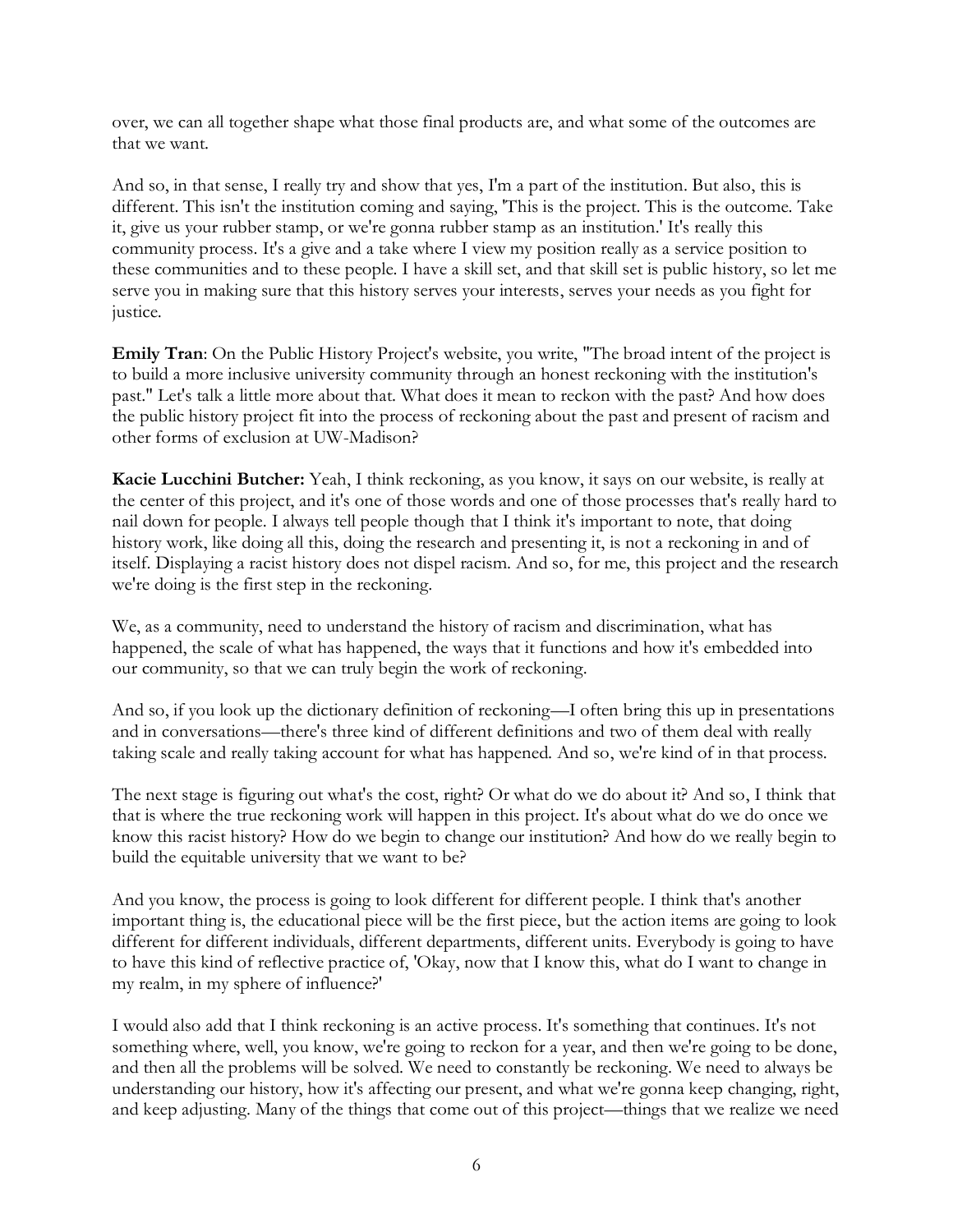over, we can all together shape what those final products are, and what some of the outcomes are that we want.

And so, in that sense, I really try and show that yes, I'm a part of the institution. But also, this is different. This isn't the institution coming and saying, 'This is the project. This is the outcome. Take it, give us your rubber stamp, or we're gonna rubber stamp as an institution.' It's really this community process. It's a give and a take where I view my position really as a service position to these communities and to these people. I have a skill set, and that skill set is public history, so let me serve you in making sure that this history serves your interests, serves your needs as you fight for justice.

**Emily Tran**: On the Public History Project's website, you write, "The broad intent of the project is to build a more inclusive university community through an honest reckoning with the institution's past." Let's talk a little more about that. What does it mean to reckon with the past? And how does the public history project fit into the process of reckoning about the past and present of racism and other forms of exclusion at UW-Madison?

**Kacie Lucchini Butcher:** Yeah, I think reckoning, as you know, it says on our website, is really at the center of this project, and it's one of those words and one of those processes that's really hard to nail down for people. I always tell people though that I think it's important to note, that doing history work, like doing all this, doing the research and presenting it, is not a reckoning in and of itself. Displaying a racist history does not dispel racism. And so, for me, this project and the research we're doing is the first step in the reckoning.

We, as a community, need to understand the history of racism and discrimination, what has happened, the scale of what has happened, the ways that it functions and how it's embedded into our community, so that we can truly begin the work of reckoning.

And so, if you look up the dictionary definition of reckoning—I often bring this up in presentations and in conversations—there's three kind of different definitions and two of them deal with really taking scale and really taking account for what has happened. And so, we're kind of in that process.

The next stage is figuring out what's the cost, right? Or what do we do about it? And so, I think that that is where the true reckoning work will happen in this project. It's about what do we do once we know this racist history? How do we begin to change our institution? And how do we really begin to build the equitable university that we want to be?

And you know, the process is going to look different for different people. I think that's another important thing is, the educational piece will be the first piece, but the action items are going to look different for different individuals, different departments, different units. Everybody is going to have to have this kind of reflective practice of, 'Okay, now that I know this, what do I want to change in my realm, in my sphere of influence?'

I would also add that I think reckoning is an active process. It's something that continues. It's not something where, well, you know, we're going to reckon for a year, and then we're going to be done, and then all the problems will be solved. We need to constantly be reckoning. We need to always be understanding our history, how it's affecting our present, and what we're gonna keep changing, right, and keep adjusting. Many of the things that come out of this project—things that we realize we need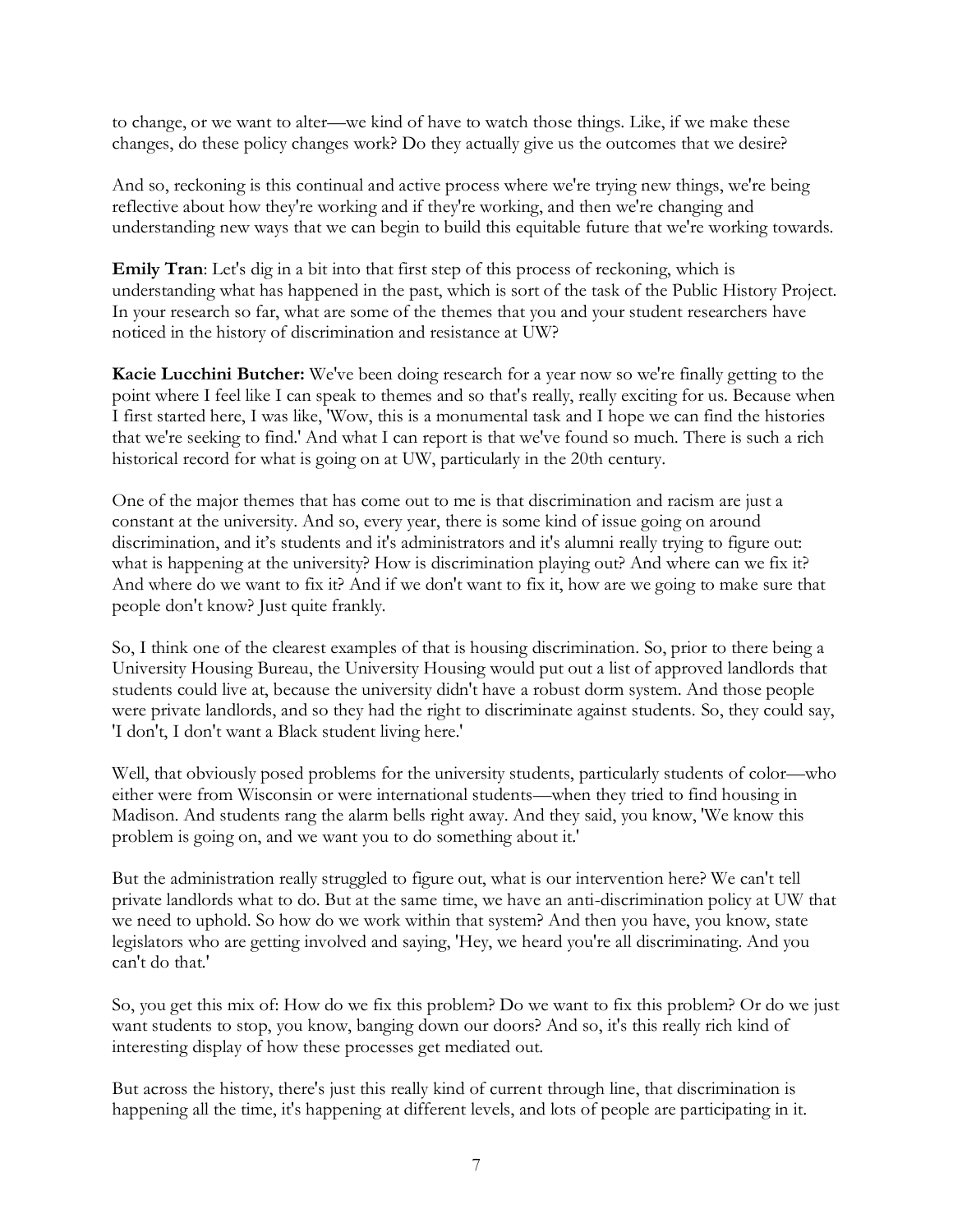to change, or we want to alter—we kind of have to watch those things. Like, if we make these changes, do these policy changes work? Do they actually give us the outcomes that we desire?

And so, reckoning is this continual and active process where we're trying new things, we're being reflective about how they're working and if they're working, and then we're changing and understanding new ways that we can begin to build this equitable future that we're working towards.

**Emily Tran**: Let's dig in a bit into that first step of this process of reckoning, which is understanding what has happened in the past, which is sort of the task of the Public History Project. In your research so far, what are some of the themes that you and your student researchers have noticed in the history of discrimination and resistance at UW?

**Kacie Lucchini Butcher:** We've been doing research for a year now so we're finally getting to the point where I feel like I can speak to themes and so that's really, really exciting for us. Because when I first started here, I was like, 'Wow, this is a monumental task and I hope we can find the histories that we're seeking to find.' And what I can report is that we've found so much. There is such a rich historical record for what is going on at UW, particularly in the 20th century.

One of the major themes that has come out to me is that discrimination and racism are just a constant at the university. And so, every year, there is some kind of issue going on around discrimination, and it's students and it's administrators and it's alumni really trying to figure out: what is happening at the university? How is discrimination playing out? And where can we fix it? And where do we want to fix it? And if we don't want to fix it, how are we going to make sure that people don't know? Just quite frankly.

So, I think one of the clearest examples of that is housing discrimination. So, prior to there being a University Housing Bureau, the University Housing would put out a list of approved landlords that students could live at, because the university didn't have a robust dorm system. And those people were private landlords, and so they had the right to discriminate against students. So, they could say, 'I don't, I don't want a Black student living here.'

Well, that obviously posed problems for the university students, particularly students of color—who either were from Wisconsin or were international students—when they tried to find housing in Madison. And students rang the alarm bells right away. And they said, you know, 'We know this problem is going on, and we want you to do something about it.'

But the administration really struggled to figure out, what is our intervention here? We can't tell private landlords what to do. But at the same time, we have an anti-discrimination policy at UW that we need to uphold. So how do we work within that system? And then you have, you know, state legislators who are getting involved and saying, 'Hey, we heard you're all discriminating. And you can't do that.'

So, you get this mix of: How do we fix this problem? Do we want to fix this problem? Or do we just want students to stop, you know, banging down our doors? And so, it's this really rich kind of interesting display of how these processes get mediated out.

But across the history, there's just this really kind of current through line, that discrimination is happening all the time, it's happening at different levels, and lots of people are participating in it.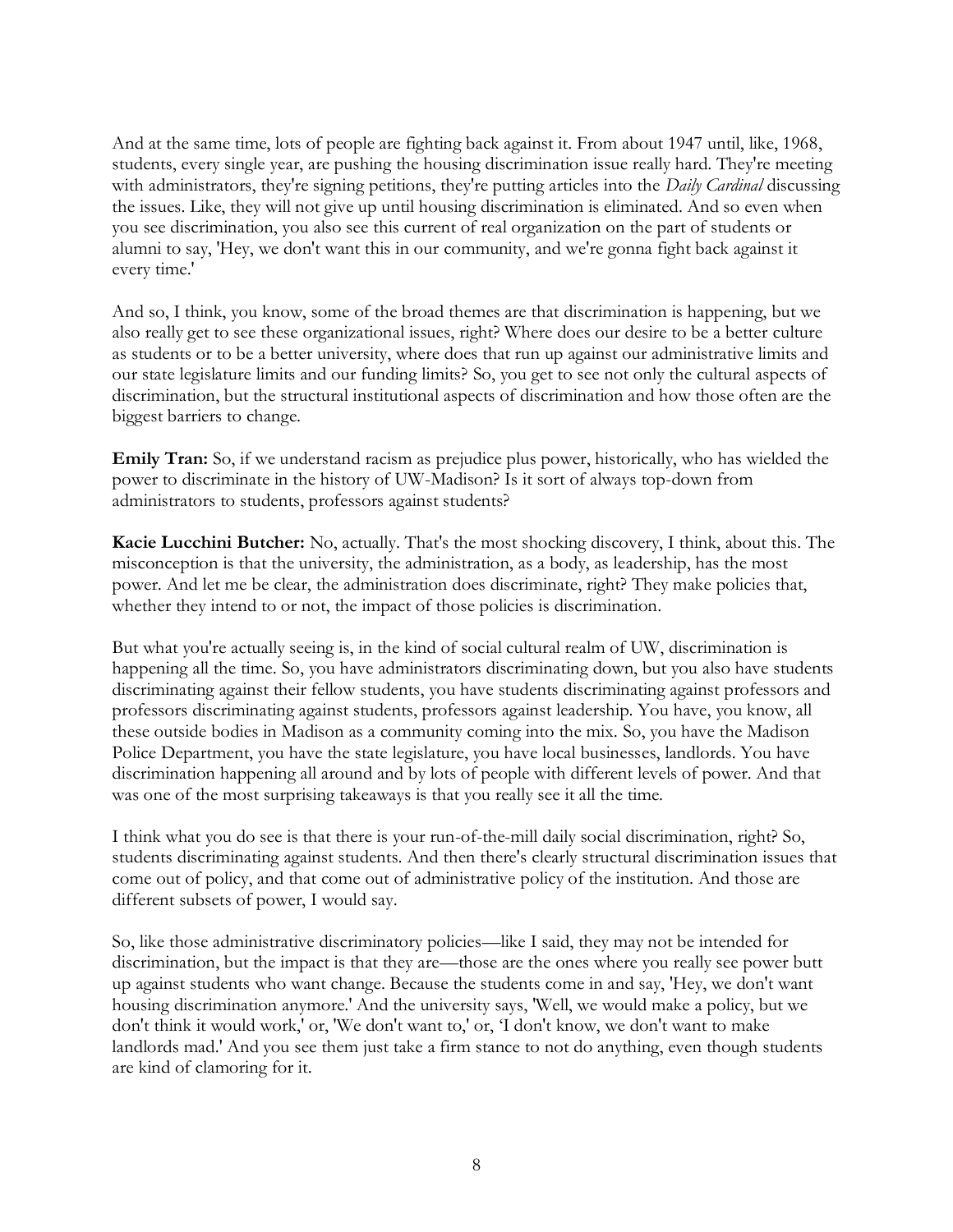And at the same time, lots of people are fighting back against it. From about 1947 until, like, 1968, students, every single year, are pushing the housing discrimination issue really hard. They're meeting with administrators, they're signing petitions, they're putting articles into the *Daily Cardinal* discussing the issues. Like, they will not give up until housing discrimination is eliminated. And so even when you see discrimination, you also see this current of real organization on the part of students or alumni to say, 'Hey, we don't want this in our community, and we're gonna fight back against it every time.'

And so, I think, you know, some of the broad themes are that discrimination is happening, but we also really get to see these organizational issues, right? Where does our desire to be a better culture as students or to be a better university, where does that run up against our administrative limits and our state legislature limits and our funding limits? So, you get to see not only the cultural aspects of discrimination, but the structural institutional aspects of discrimination and how those often are the biggest barriers to change.

**Emily Tran:** So, if we understand racism as prejudice plus power, historically, who has wielded the power to discriminate in the history of UW-Madison? Is it sort of always top-down from administrators to students, professors against students?

**Kacie Lucchini Butcher:** No, actually. That's the most shocking discovery, I think, about this. The misconception is that the university, the administration, as a body, as leadership, has the most power. And let me be clear, the administration does discriminate, right? They make policies that, whether they intend to or not, the impact of those policies is discrimination.

But what you're actually seeing is, in the kind of social cultural realm of UW, discrimination is happening all the time. So, you have administrators discriminating down, but you also have students discriminating against their fellow students, you have students discriminating against professors and professors discriminating against students, professors against leadership. You have, you know, all these outside bodies in Madison as a community coming into the mix. So, you have the Madison Police Department, you have the state legislature, you have local businesses, landlords. You have discrimination happening all around and by lots of people with different levels of power. And that was one of the most surprising takeaways is that you really see it all the time.

I think what you do see is that there is your run-of-the-mill daily social discrimination, right? So, students discriminating against students. And then there's clearly structural discrimination issues that come out of policy, and that come out of administrative policy of the institution. And those are different subsets of power, I would say.

So, like those administrative discriminatory policies—like I said, they may not be intended for discrimination, but the impact is that they are—those are the ones where you really see power butt up against students who want change. Because the students come in and say, 'Hey, we don't want housing discrimination anymore.' And the university says, 'Well, we would make a policy, but we don't think it would work,' or, 'We don't want to,' or, 'I don't know, we don't want to make landlords mad.' And you see them just take a firm stance to not do anything, even though students are kind of clamoring for it.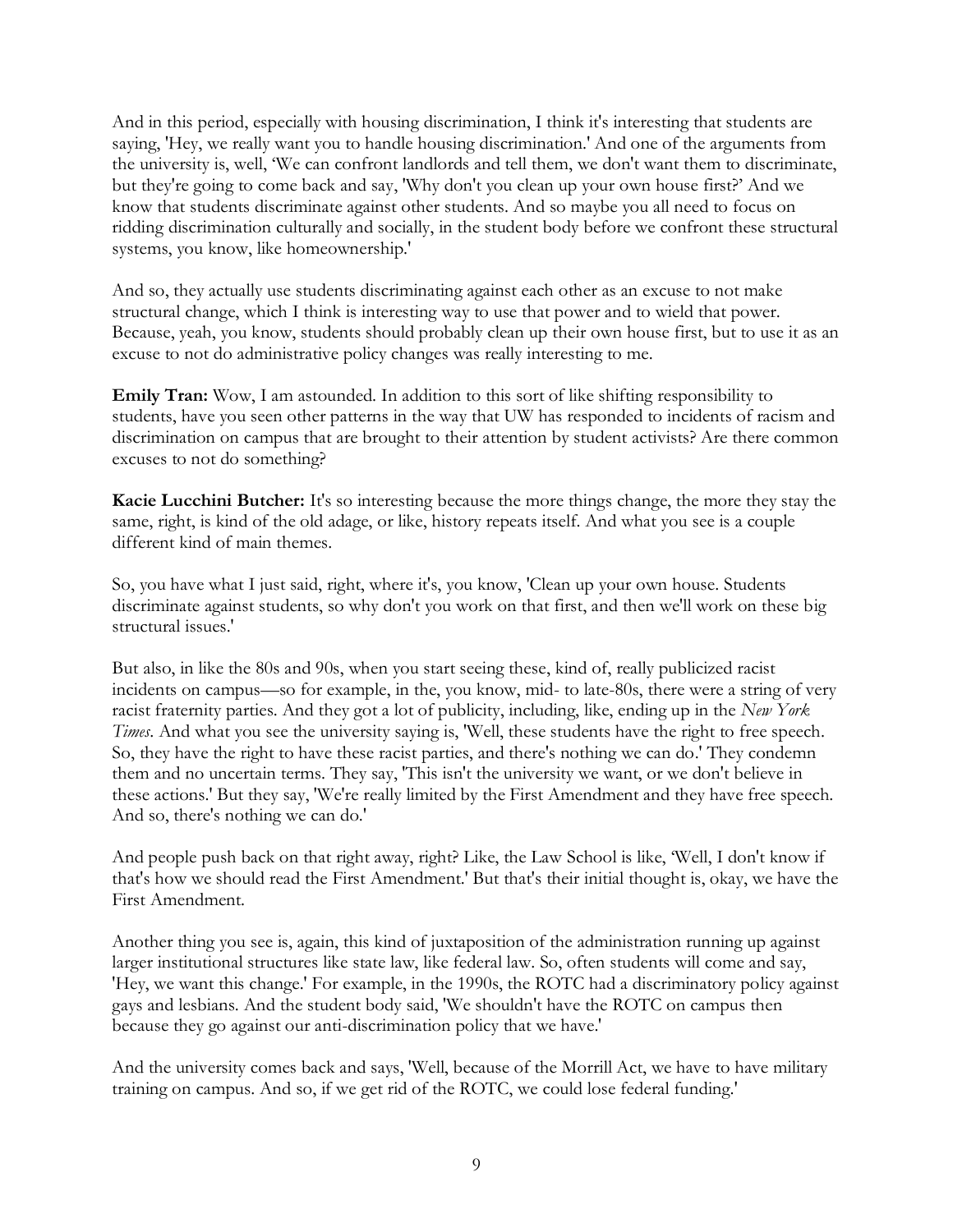And in this period, especially with housing discrimination, I think it's interesting that students are saying, 'Hey, we really want you to handle housing discrimination.' And one of the arguments from the university is, well, 'We can confront landlords and tell them, we don't want them to discriminate, but they're going to come back and say, 'Why don't you clean up your own house first?' And we know that students discriminate against other students. And so maybe you all need to focus on ridding discrimination culturally and socially, in the student body before we confront these structural systems, you know, like homeownership.'

And so, they actually use students discriminating against each other as an excuse to not make structural change, which I think is interesting way to use that power and to wield that power. Because, yeah, you know, students should probably clean up their own house first, but to use it as an excuse to not do administrative policy changes was really interesting to me.

**Emily Tran:** Wow, I am astounded. In addition to this sort of like shifting responsibility to students, have you seen other patterns in the way that UW has responded to incidents of racism and discrimination on campus that are brought to their attention by student activists? Are there common excuses to not do something?

**Kacie Lucchini Butcher:** It's so interesting because the more things change, the more they stay the same, right, is kind of the old adage, or like, history repeats itself. And what you see is a couple different kind of main themes.

So, you have what I just said, right, where it's, you know, 'Clean up your own house. Students discriminate against students, so why don't you work on that first, and then we'll work on these big structural issues.'

But also, in like the 80s and 90s, when you start seeing these, kind of, really publicized racist incidents on campus—so for example, in the, you know, mid- to late-80s, there were a string of very racist fraternity parties. And they got a lot of publicity, including, like, ending up in the *New York Times*. And what you see the university saying is, 'Well, these students have the right to free speech. So, they have the right to have these racist parties, and there's nothing we can do.' They condemn them and no uncertain terms. They say, 'This isn't the university we want, or we don't believe in these actions.' But they say, 'We're really limited by the First Amendment and they have free speech. And so, there's nothing we can do.'

And people push back on that right away, right? Like, the Law School is like, 'Well, I don't know if that's how we should read the First Amendment.' But that's their initial thought is, okay, we have the First Amendment.

Another thing you see is, again, this kind of juxtaposition of the administration running up against larger institutional structures like state law, like federal law. So, often students will come and say, 'Hey, we want this change.' For example, in the 1990s, the ROTC had a discriminatory policy against gays and lesbians. And the student body said, 'We shouldn't have the ROTC on campus then because they go against our anti-discrimination policy that we have.'

And the university comes back and says, 'Well, because of the Morrill Act, we have to have military training on campus. And so, if we get rid of the ROTC, we could lose federal funding.'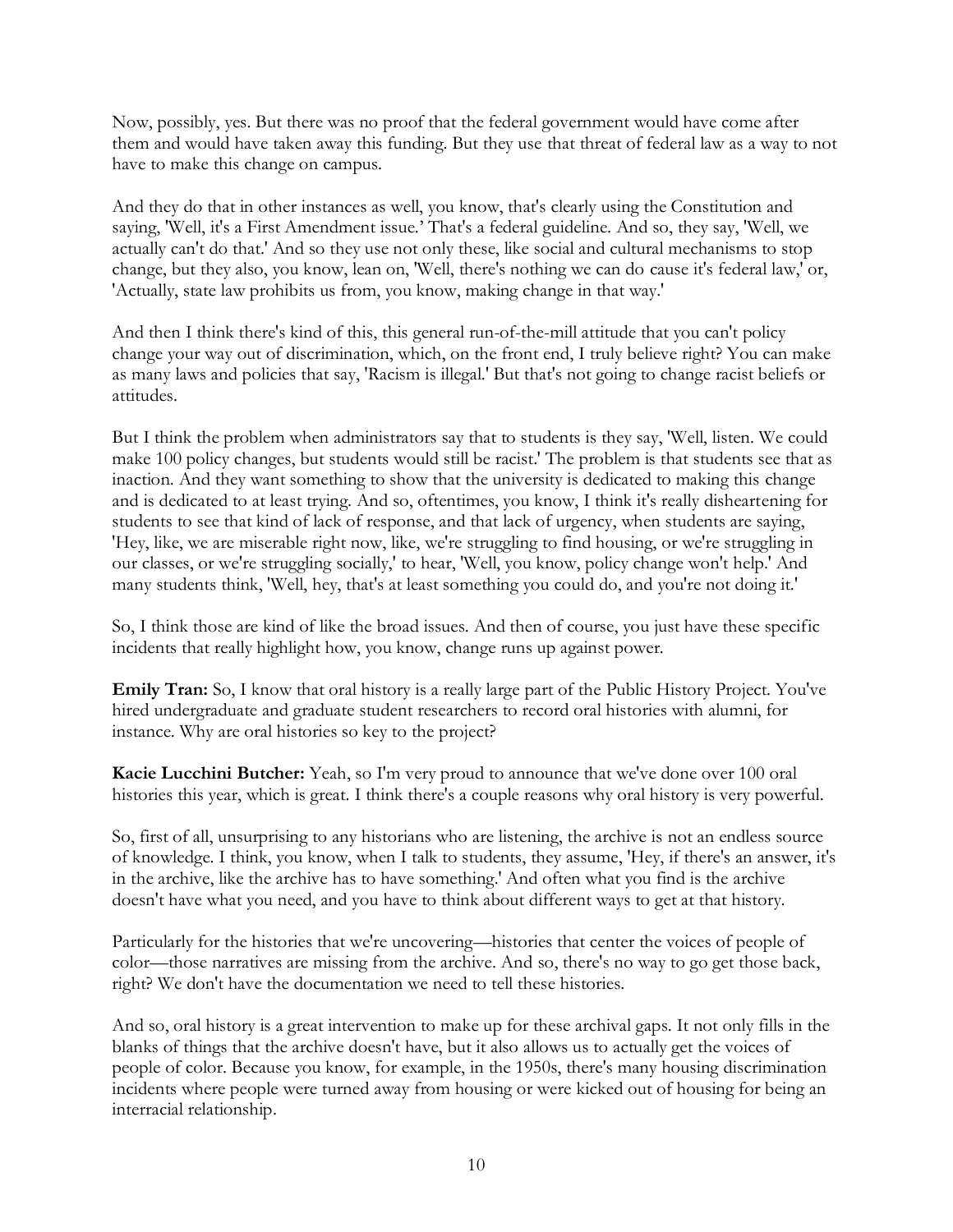Now, possibly, yes. But there was no proof that the federal government would have come after them and would have taken away this funding. But they use that threat of federal law as a way to not have to make this change on campus.

And they do that in other instances as well, you know, that's clearly using the Constitution and saying, 'Well, it's a First Amendment issue.' That's a federal guideline. And so, they say, 'Well, we actually can't do that.' And so they use not only these, like social and cultural mechanisms to stop change, but they also, you know, lean on, 'Well, there's nothing we can do cause it's federal law,' or, 'Actually, state law prohibits us from, you know, making change in that way.'

And then I think there's kind of this, this general run-of-the-mill attitude that you can't policy change your way out of discrimination, which, on the front end, I truly believe right? You can make as many laws and policies that say, 'Racism is illegal.' But that's not going to change racist beliefs or attitudes.

But I think the problem when administrators say that to students is they say, 'Well, listen. We could make 100 policy changes, but students would still be racist.' The problem is that students see that as inaction. And they want something to show that the university is dedicated to making this change and is dedicated to at least trying. And so, oftentimes, you know, I think it's really disheartening for students to see that kind of lack of response, and that lack of urgency, when students are saying, 'Hey, like, we are miserable right now, like, we're struggling to find housing, or we're struggling in our classes, or we're struggling socially,' to hear, 'Well, you know, policy change won't help.' And many students think, 'Well, hey, that's at least something you could do, and you're not doing it.'

So, I think those are kind of like the broad issues. And then of course, you just have these specific incidents that really highlight how, you know, change runs up against power.

**Emily Tran:** So, I know that oral history is a really large part of the Public History Project. You've hired undergraduate and graduate student researchers to record oral histories with alumni, for instance. Why are oral histories so key to the project?

**Kacie Lucchini Butcher:** Yeah, so I'm very proud to announce that we've done over 100 oral histories this year, which is great. I think there's a couple reasons why oral history is very powerful.

So, first of all, unsurprising to any historians who are listening, the archive is not an endless source of knowledge. I think, you know, when I talk to students, they assume, 'Hey, if there's an answer, it's in the archive, like the archive has to have something.' And often what you find is the archive doesn't have what you need, and you have to think about different ways to get at that history.

Particularly for the histories that we're uncovering—histories that center the voices of people of color—those narratives are missing from the archive. And so, there's no way to go get those back, right? We don't have the documentation we need to tell these histories.

And so, oral history is a great intervention to make up for these archival gaps. It not only fills in the blanks of things that the archive doesn't have, but it also allows us to actually get the voices of people of color. Because you know, for example, in the 1950s, there's many housing discrimination incidents where people were turned away from housing or were kicked out of housing for being an interracial relationship.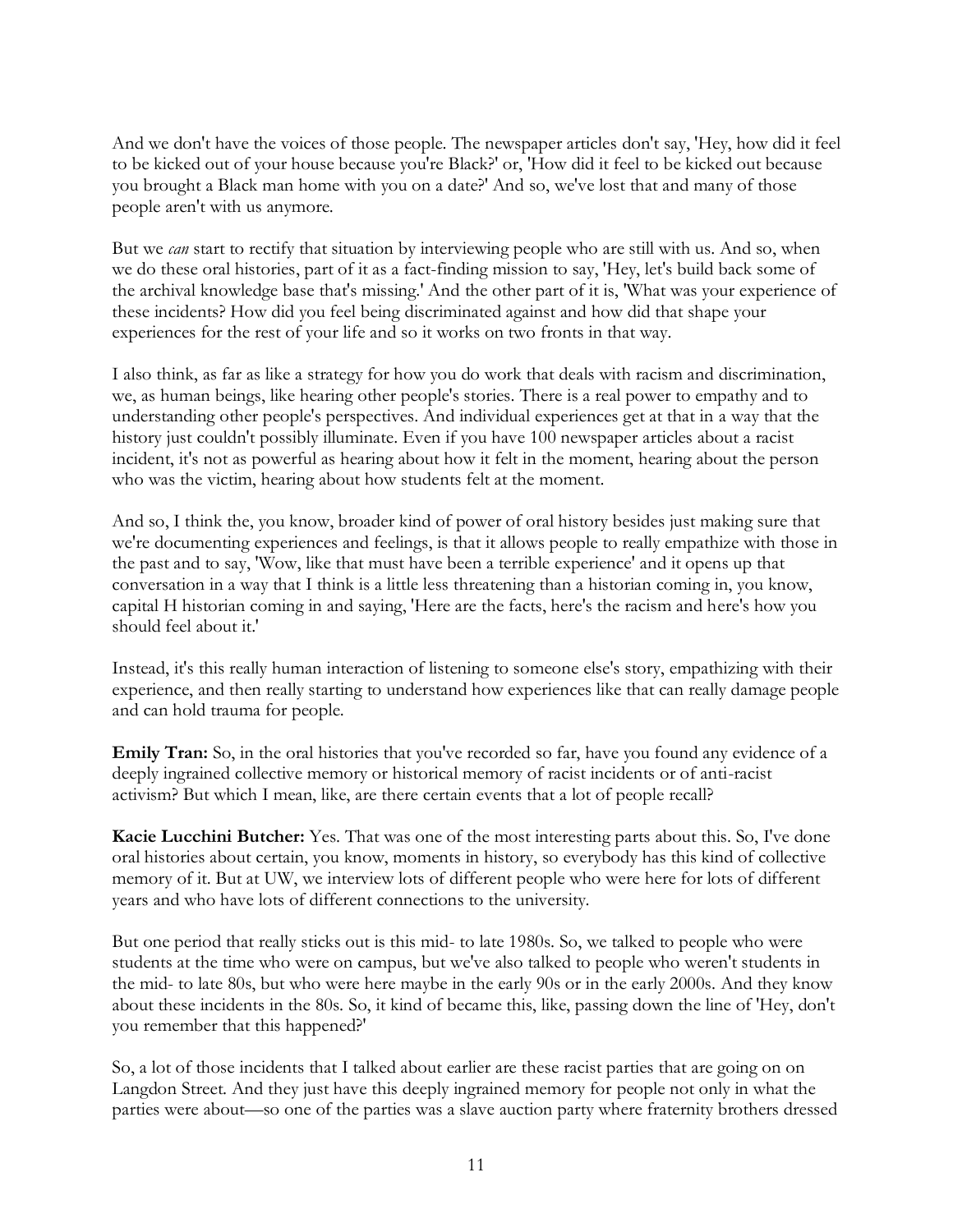And we don't have the voices of those people. The newspaper articles don't say, 'Hey, how did it feel to be kicked out of your house because you're Black?' or, 'How did it feel to be kicked out because you brought a Black man home with you on a date?' And so, we've lost that and many of those people aren't with us anymore.

But we *can* start to rectify that situation by interviewing people who are still with us. And so, when we do these oral histories, part of it as a fact-finding mission to say, 'Hey, let's build back some of the archival knowledge base that's missing.' And the other part of it is, 'What was your experience of these incidents? How did you feel being discriminated against and how did that shape your experiences for the rest of your life and so it works on two fronts in that way.

I also think, as far as like a strategy for how you do work that deals with racism and discrimination, we, as human beings, like hearing other people's stories. There is a real power to empathy and to understanding other people's perspectives. And individual experiences get at that in a way that the history just couldn't possibly illuminate. Even if you have 100 newspaper articles about a racist incident, it's not as powerful as hearing about how it felt in the moment, hearing about the person who was the victim, hearing about how students felt at the moment.

And so, I think the, you know, broader kind of power of oral history besides just making sure that we're documenting experiences and feelings, is that it allows people to really empathize with those in the past and to say, 'Wow, like that must have been a terrible experience' and it opens up that conversation in a way that I think is a little less threatening than a historian coming in, you know, capital H historian coming in and saying, 'Here are the facts, here's the racism and here's how you should feel about it.'

Instead, it's this really human interaction of listening to someone else's story, empathizing with their experience, and then really starting to understand how experiences like that can really damage people and can hold trauma for people.

**Emily Tran:** So, in the oral histories that you've recorded so far, have you found any evidence of a deeply ingrained collective memory or historical memory of racist incidents or of anti-racist activism? But which I mean, like, are there certain events that a lot of people recall?

**Kacie Lucchini Butcher:** Yes. That was one of the most interesting parts about this. So, I've done oral histories about certain, you know, moments in history, so everybody has this kind of collective memory of it. But at UW, we interview lots of different people who were here for lots of different years and who have lots of different connections to the university.

But one period that really sticks out is this mid- to late 1980s. So, we talked to people who were students at the time who were on campus, but we've also talked to people who weren't students in the mid- to late 80s, but who were here maybe in the early 90s or in the early 2000s. And they know about these incidents in the 80s. So, it kind of became this, like, passing down the line of 'Hey, don't you remember that this happened?'

So, a lot of those incidents that I talked about earlier are these racist parties that are going on on Langdon Street. And they just have this deeply ingrained memory for people not only in what the parties were about—so one of the parties was a slave auction party where fraternity brothers dressed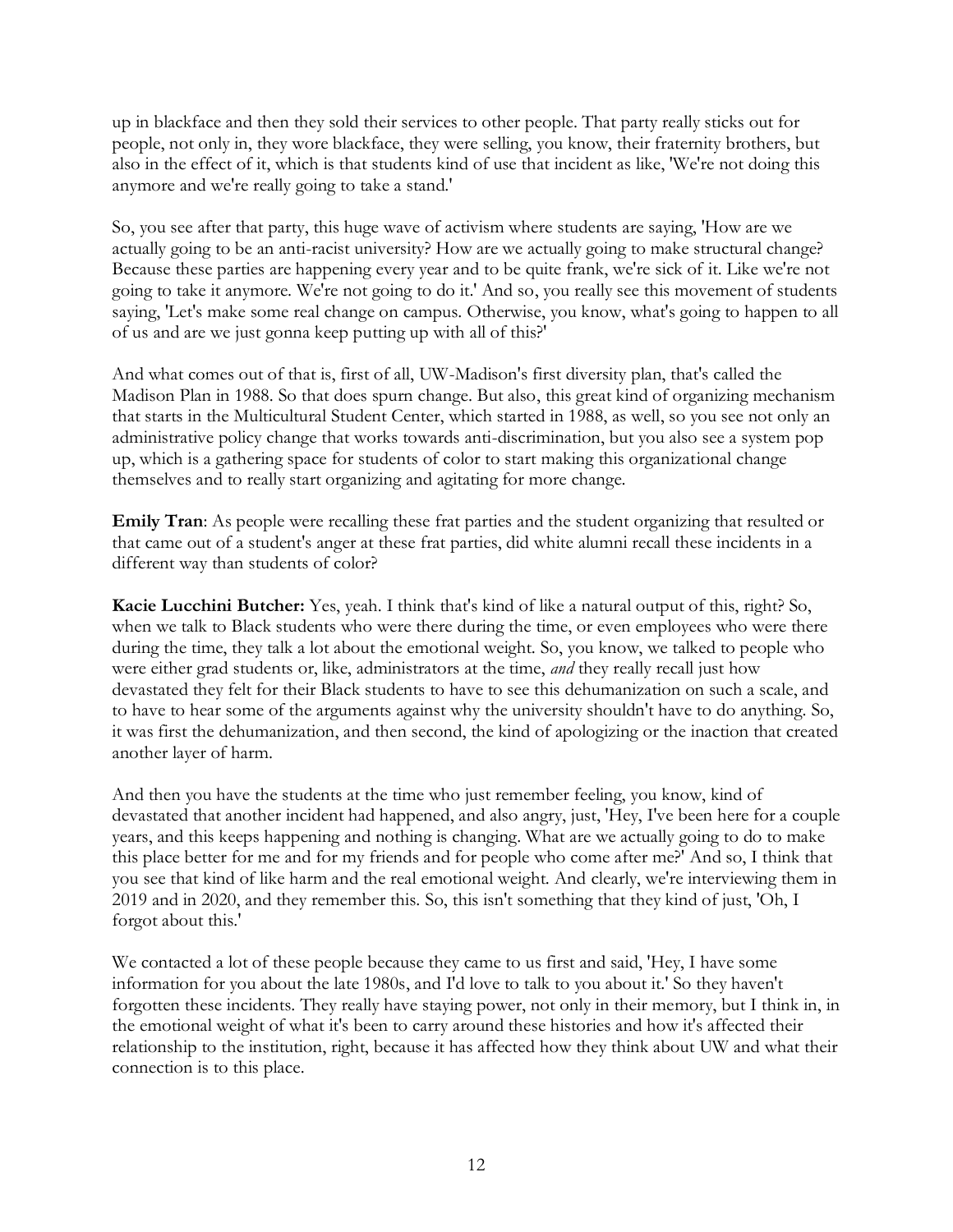up in blackface and then they sold their services to other people. That party really sticks out for people, not only in, they wore blackface, they were selling, you know, their fraternity brothers, but also in the effect of it, which is that students kind of use that incident as like, 'We're not doing this anymore and we're really going to take a stand.'

So, you see after that party, this huge wave of activism where students are saying, 'How are we actually going to be an anti-racist university? How are we actually going to make structural change? Because these parties are happening every year and to be quite frank, we're sick of it. Like we're not going to take it anymore. We're not going to do it.' And so, you really see this movement of students saying, 'Let's make some real change on campus. Otherwise, you know, what's going to happen to all of us and are we just gonna keep putting up with all of this?'

And what comes out of that is, first of all, UW-Madison's first diversity plan, that's called the Madison Plan in 1988. So that does spurn change. But also, this great kind of organizing mechanism that starts in the Multicultural Student Center, which started in 1988, as well, so you see not only an administrative policy change that works towards anti-discrimination, but you also see a system pop up, which is a gathering space for students of color to start making this organizational change themselves and to really start organizing and agitating for more change.

**Emily Tran**: As people were recalling these frat parties and the student organizing that resulted or that came out of a student's anger at these frat parties, did white alumni recall these incidents in a different way than students of color?

**Kacie Lucchini Butcher:** Yes, yeah. I think that's kind of like a natural output of this, right? So, when we talk to Black students who were there during the time, or even employees who were there during the time, they talk a lot about the emotional weight. So, you know, we talked to people who were either grad students or, like, administrators at the time, *and* they really recall just how devastated they felt for their Black students to have to see this dehumanization on such a scale, and to have to hear some of the arguments against why the university shouldn't have to do anything. So, it was first the dehumanization, and then second, the kind of apologizing or the inaction that created another layer of harm.

And then you have the students at the time who just remember feeling, you know, kind of devastated that another incident had happened, and also angry, just, 'Hey, I've been here for a couple years, and this keeps happening and nothing is changing. What are we actually going to do to make this place better for me and for my friends and for people who come after me?' And so, I think that you see that kind of like harm and the real emotional weight. And clearly, we're interviewing them in 2019 and in 2020, and they remember this. So, this isn't something that they kind of just, 'Oh, I forgot about this.'

We contacted a lot of these people because they came to us first and said, 'Hey, I have some information for you about the late 1980s, and I'd love to talk to you about it.' So they haven't forgotten these incidents. They really have staying power, not only in their memory, but I think in, in the emotional weight of what it's been to carry around these histories and how it's affected their relationship to the institution, right, because it has affected how they think about UW and what their connection is to this place.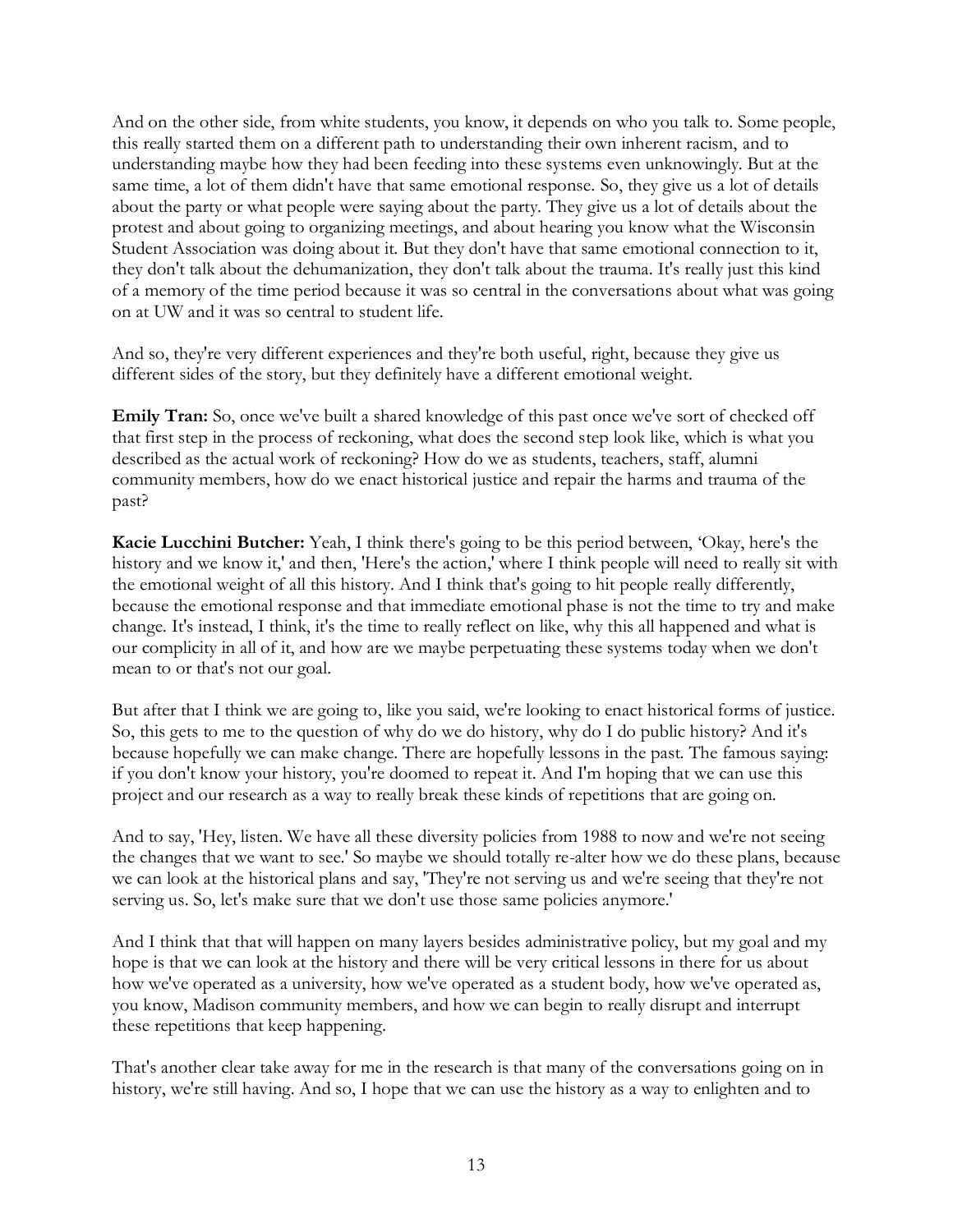And on the other side, from white students, you know, it depends on who you talk to. Some people, this really started them on a different path to understanding their own inherent racism, and to understanding maybe how they had been feeding into these systems even unknowingly. But at the same time, a lot of them didn't have that same emotional response. So, they give us a lot of details about the party or what people were saying about the party. They give us a lot of details about the protest and about going to organizing meetings, and about hearing you know what the Wisconsin Student Association was doing about it. But they don't have that same emotional connection to it, they don't talk about the dehumanization, they don't talk about the trauma. It's really just this kind of a memory of the time period because it was so central in the conversations about what was going on at UW and it was so central to student life.

And so, they're very different experiences and they're both useful, right, because they give us different sides of the story, but they definitely have a different emotional weight.

**Emily Tran:** So, once we've built a shared knowledge of this past once we've sort of checked off that first step in the process of reckoning, what does the second step look like, which is what you described as the actual work of reckoning? How do we as students, teachers, staff, alumni community members, how do we enact historical justice and repair the harms and trauma of the past?

**Kacie Lucchini Butcher:** Yeah, I think there's going to be this period between, 'Okay, here's the history and we know it,' and then, 'Here's the action,' where I think people will need to really sit with the emotional weight of all this history. And I think that's going to hit people really differently, because the emotional response and that immediate emotional phase is not the time to try and make change. It's instead, I think, it's the time to really reflect on like, why this all happened and what is our complicity in all of it, and how are we maybe perpetuating these systems today when we don't mean to or that's not our goal.

But after that I think we are going to, like you said, we're looking to enact historical forms of justice. So, this gets to me to the question of why do we do history, why do I do public history? And it's because hopefully we can make change. There are hopefully lessons in the past. The famous saying: if you don't know your history, you're doomed to repeat it. And I'm hoping that we can use this project and our research as a way to really break these kinds of repetitions that are going on.

And to say, 'Hey, listen. We have all these diversity policies from 1988 to now and we're not seeing the changes that we want to see.' So maybe we should totally re-alter how we do these plans, because we can look at the historical plans and say, 'They're not serving us and we're seeing that they're not serving us. So, let's make sure that we don't use those same policies anymore.'

And I think that that will happen on many layers besides administrative policy, but my goal and my hope is that we can look at the history and there will be very critical lessons in there for us about how we've operated as a university, how we've operated as a student body, how we've operated as, you know, Madison community members, and how we can begin to really disrupt and interrupt these repetitions that keep happening.

That's another clear take away for me in the research is that many of the conversations going on in history, we're still having. And so, I hope that we can use the history as a way to enlighten and to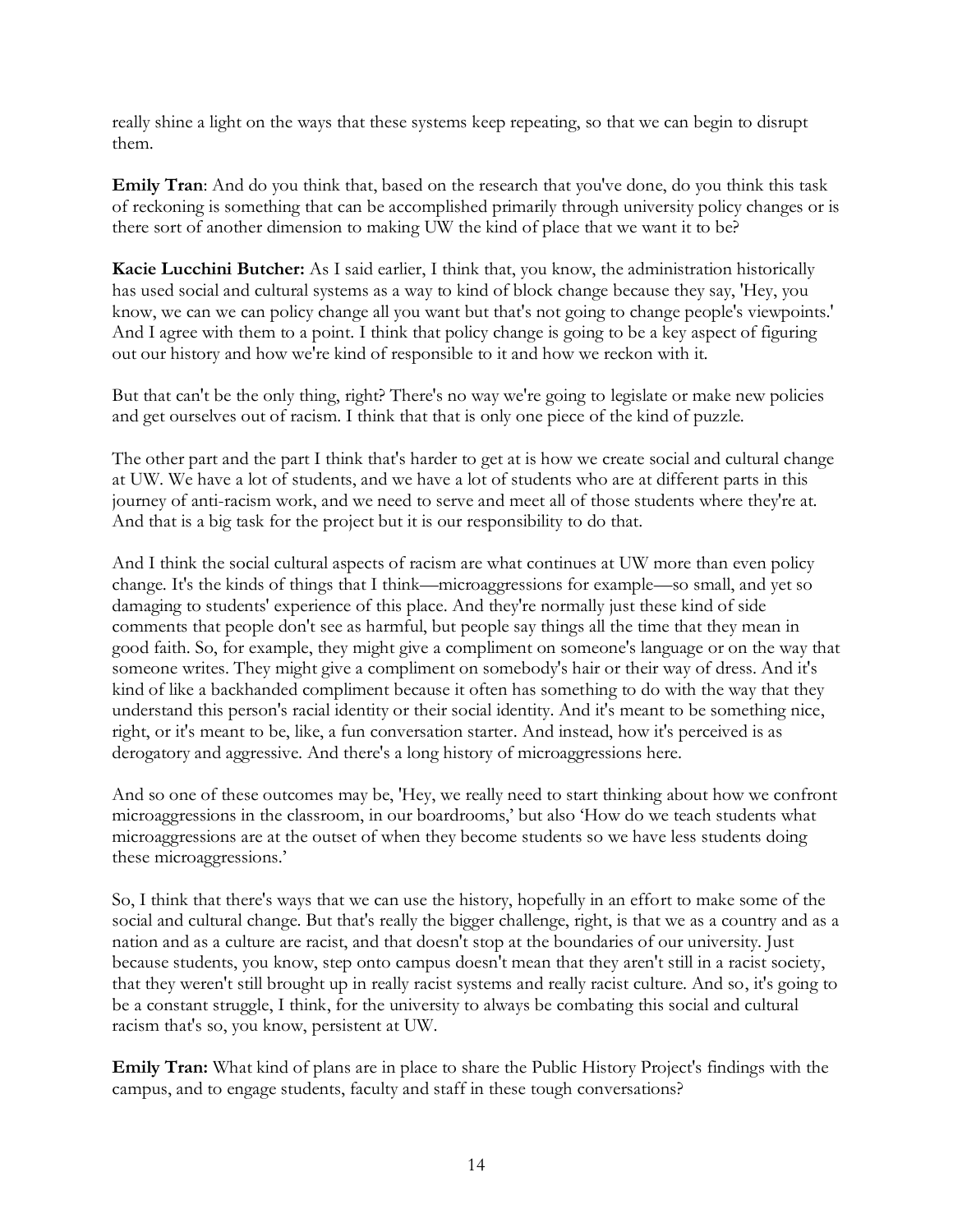really shine a light on the ways that these systems keep repeating, so that we can begin to disrupt them.

**Emily Tran**: And do you think that, based on the research that you've done, do you think this task of reckoning is something that can be accomplished primarily through university policy changes or is there sort of another dimension to making UW the kind of place that we want it to be?

**Kacie Lucchini Butcher:** As I said earlier, I think that, you know, the administration historically has used social and cultural systems as a way to kind of block change because they say, 'Hey, you know, we can we can policy change all you want but that's not going to change people's viewpoints.' And I agree with them to a point. I think that policy change is going to be a key aspect of figuring out our history and how we're kind of responsible to it and how we reckon with it.

But that can't be the only thing, right? There's no way we're going to legislate or make new policies and get ourselves out of racism. I think that that is only one piece of the kind of puzzle.

The other part and the part I think that's harder to get at is how we create social and cultural change at UW. We have a lot of students, and we have a lot of students who are at different parts in this journey of anti-racism work, and we need to serve and meet all of those students where they're at. And that is a big task for the project but it is our responsibility to do that.

And I think the social cultural aspects of racism are what continues at UW more than even policy change. It's the kinds of things that I think—microaggressions for example—so small, and yet so damaging to students' experience of this place. And they're normally just these kind of side comments that people don't see as harmful, but people say things all the time that they mean in good faith. So, for example, they might give a compliment on someone's language or on the way that someone writes. They might give a compliment on somebody's hair or their way of dress. And it's kind of like a backhanded compliment because it often has something to do with the way that they understand this person's racial identity or their social identity. And it's meant to be something nice, right, or it's meant to be, like, a fun conversation starter. And instead, how it's perceived is as derogatory and aggressive. And there's a long history of microaggressions here.

And so one of these outcomes may be, 'Hey, we really need to start thinking about how we confront microaggressions in the classroom, in our boardrooms,' but also 'How do we teach students what microaggressions are at the outset of when they become students so we have less students doing these microaggressions.'

So, I think that there's ways that we can use the history, hopefully in an effort to make some of the social and cultural change. But that's really the bigger challenge, right, is that we as a country and as a nation and as a culture are racist, and that doesn't stop at the boundaries of our university. Just because students, you know, step onto campus doesn't mean that they aren't still in a racist society, that they weren't still brought up in really racist systems and really racist culture. And so, it's going to be a constant struggle, I think, for the university to always be combating this social and cultural racism that's so, you know, persistent at UW.

**Emily Tran:** What kind of plans are in place to share the Public History Project's findings with the campus, and to engage students, faculty and staff in these tough conversations?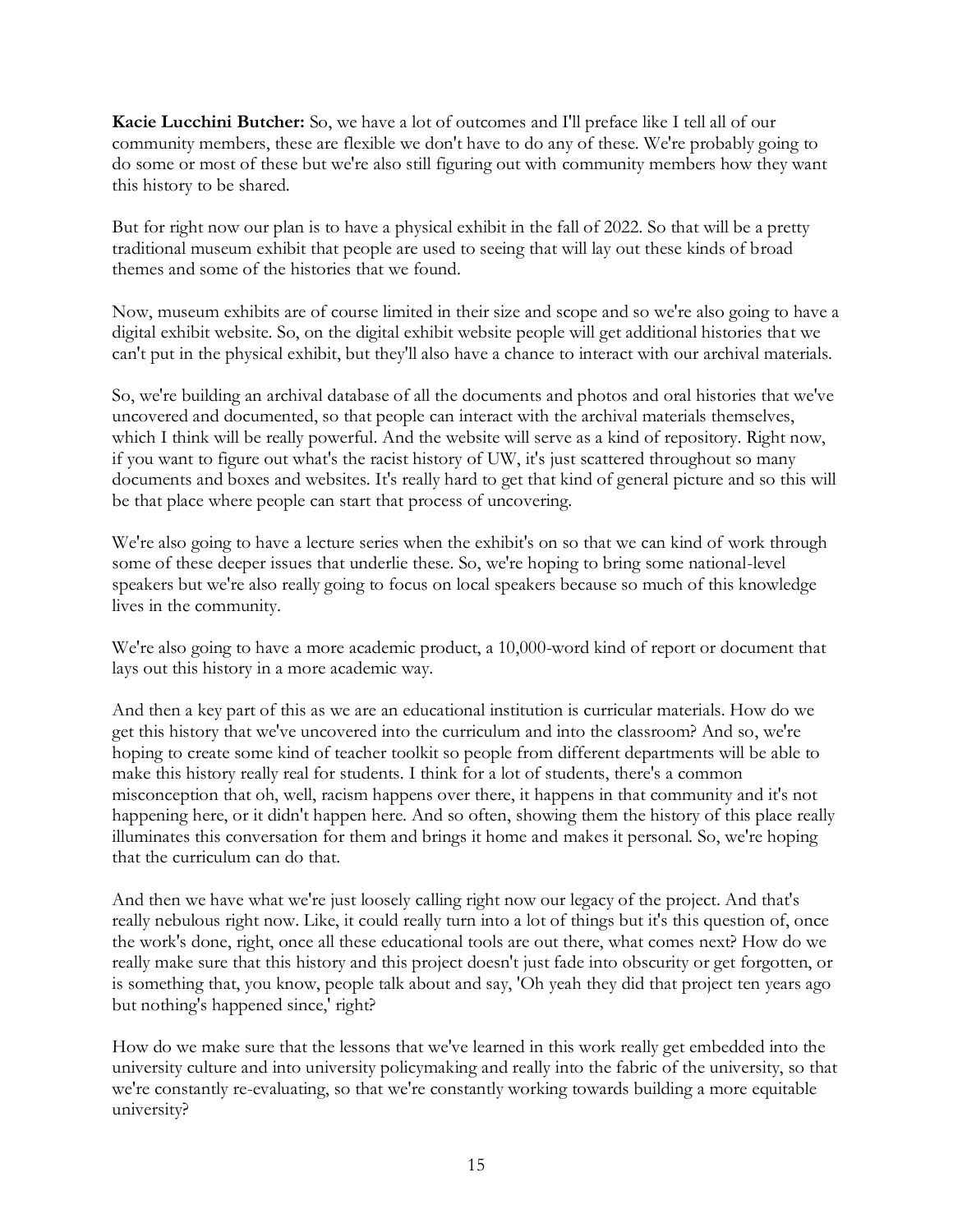**Kacie Lucchini Butcher:** So, we have a lot of outcomes and I'll preface like I tell all of our community members, these are flexible we don't have to do any of these. We're probably going to do some or most of these but we're also still figuring out with community members how they want this history to be shared.

But for right now our plan is to have a physical exhibit in the fall of 2022. So that will be a pretty traditional museum exhibit that people are used to seeing that will lay out these kinds of broad themes and some of the histories that we found.

Now, museum exhibits are of course limited in their size and scope and so we're also going to have a digital exhibit website. So, on the digital exhibit website people will get additional histories that we can't put in the physical exhibit, but they'll also have a chance to interact with our archival materials.

So, we're building an archival database of all the documents and photos and oral histories that we've uncovered and documented, so that people can interact with the archival materials themselves, which I think will be really powerful. And the website will serve as a kind of repository. Right now, if you want to figure out what's the racist history of UW, it's just scattered throughout so many documents and boxes and websites. It's really hard to get that kind of general picture and so this will be that place where people can start that process of uncovering.

We're also going to have a lecture series when the exhibit's on so that we can kind of work through some of these deeper issues that underlie these. So, we're hoping to bring some national-level speakers but we're also really going to focus on local speakers because so much of this knowledge lives in the community.

We're also going to have a more academic product, a 10,000-word kind of report or document that lays out this history in a more academic way.

And then a key part of this as we are an educational institution is curricular materials. How do we get this history that we've uncovered into the curriculum and into the classroom? And so, we're hoping to create some kind of teacher toolkit so people from different departments will be able to make this history really real for students. I think for a lot of students, there's a common misconception that oh, well, racism happens over there, it happens in that community and it's not happening here, or it didn't happen here. And so often, showing them the history of this place really illuminates this conversation for them and brings it home and makes it personal. So, we're hoping that the curriculum can do that.

And then we have what we're just loosely calling right now our legacy of the project. And that's really nebulous right now. Like, it could really turn into a lot of things but it's this question of, once the work's done, right, once all these educational tools are out there, what comes next? How do we really make sure that this history and this project doesn't just fade into obscurity or get forgotten, or is something that, you know, people talk about and say, 'Oh yeah they did that project ten years ago but nothing's happened since,' right?

How do we make sure that the lessons that we've learned in this work really get embedded into the university culture and into university policymaking and really into the fabric of the university, so that we're constantly re-evaluating, so that we're constantly working towards building a more equitable university?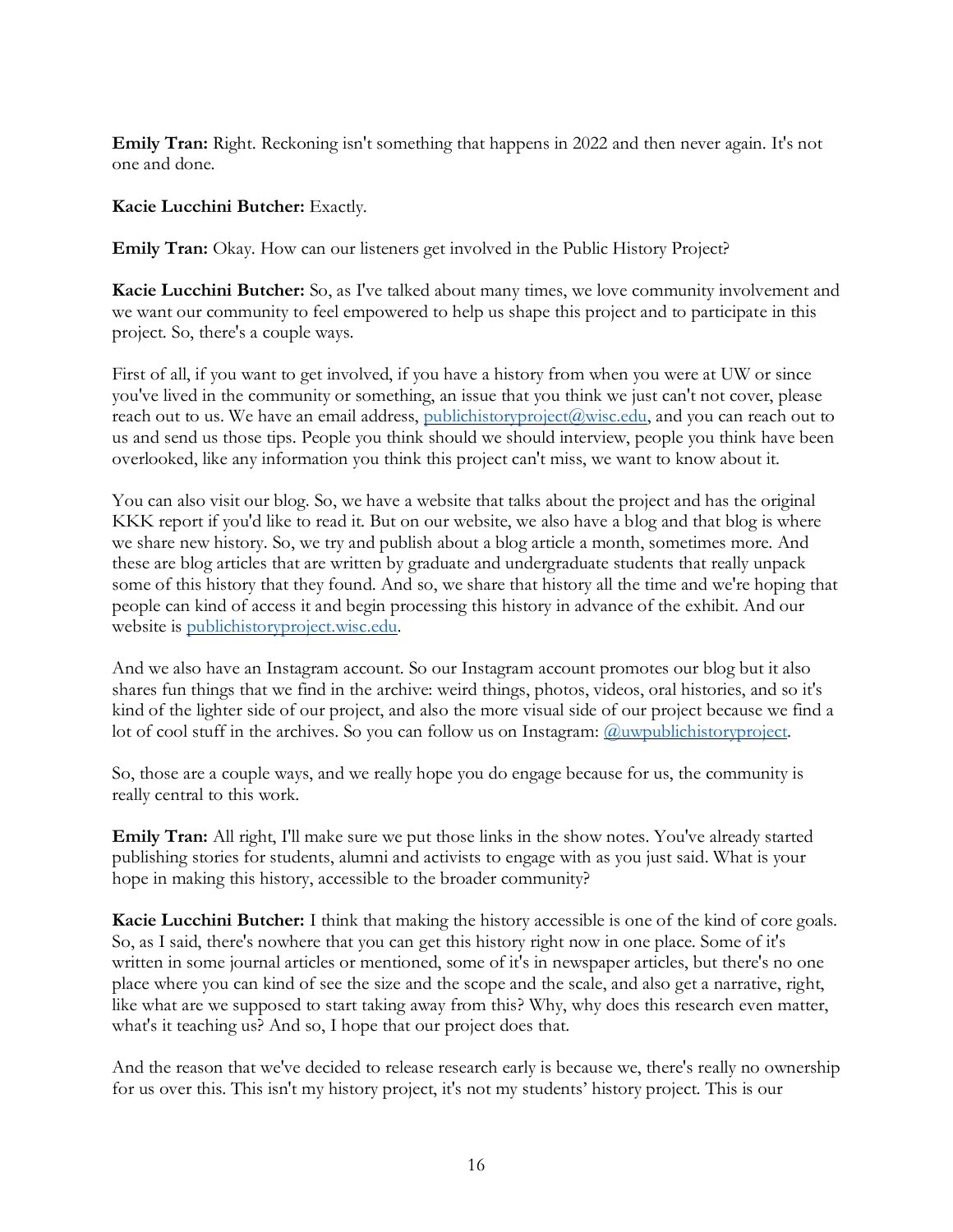**Emily Tran:** Right. Reckoning isn't something that happens in 2022 and then never again. It's not one and done.

#### **Kacie Lucchini Butcher:** Exactly.

**Emily Tran:** Okay. How can our listeners get involved in the Public History Project?

**Kacie Lucchini Butcher:** So, as I've talked about many times, we love community involvement and we want our community to feel empowered to help us shape this project and to participate in this project. So, there's a couple ways.

First of all, if you want to get involved, if you have a history from when you were at UW or since you've lived in the community or something, an issue that you think we just can't not cover, please reach out to us. We have an email address, [publichistoryproject@wisc.edu,](mailto:publichistoryproject@wisc.edu) and you can reach out to us and send us those tips. People you think should we should interview, people you think have been overlooked, like any information you think this project can't miss, we want to know about it.

You can also visit our blog. So, we have a website that talks about the project and has the original KKK report if you'd like to read it. But on our website, we also have a blog and that blog is where we share new history. So, we try and publish about a blog article a month, sometimes more. And these are blog articles that are written by graduate and undergraduate students that really unpack some of this history that they found. And so, we share that history all the time and we're hoping that people can kind of access it and begin processing this history in advance of the exhibit. And our website is [publichistoryproject.wisc.edu.](https://publichistoryproject.wisc.edu/)

And we also have an Instagram account. So our Instagram account promotes our blog but it also shares fun things that we find in the archive: weird things, photos, videos, oral histories, and so it's kind of the lighter side of our project, and also the more visual side of our project because we find a lot of cool stuff in the archives. So you can follow us on Instagram: *Quwpublichistoryproject*.

So, those are a couple ways, and we really hope you do engage because for us, the community is really central to this work.

**Emily Tran:** All right, I'll make sure we put those links in the show notes. You've already started publishing stories for students, alumni and activists to engage with as you just said. What is your hope in making this history, accessible to the broader community?

**Kacie Lucchini Butcher:** I think that making the history accessible is one of the kind of core goals. So, as I said, there's nowhere that you can get this history right now in one place. Some of it's written in some journal articles or mentioned, some of it's in newspaper articles, but there's no one place where you can kind of see the size and the scope and the scale, and also get a narrative, right, like what are we supposed to start taking away from this? Why, why does this research even matter, what's it teaching us? And so, I hope that our project does that.

And the reason that we've decided to release research early is because we, there's really no ownership for us over this. This isn't my history project, it's not my students' history project. This is our